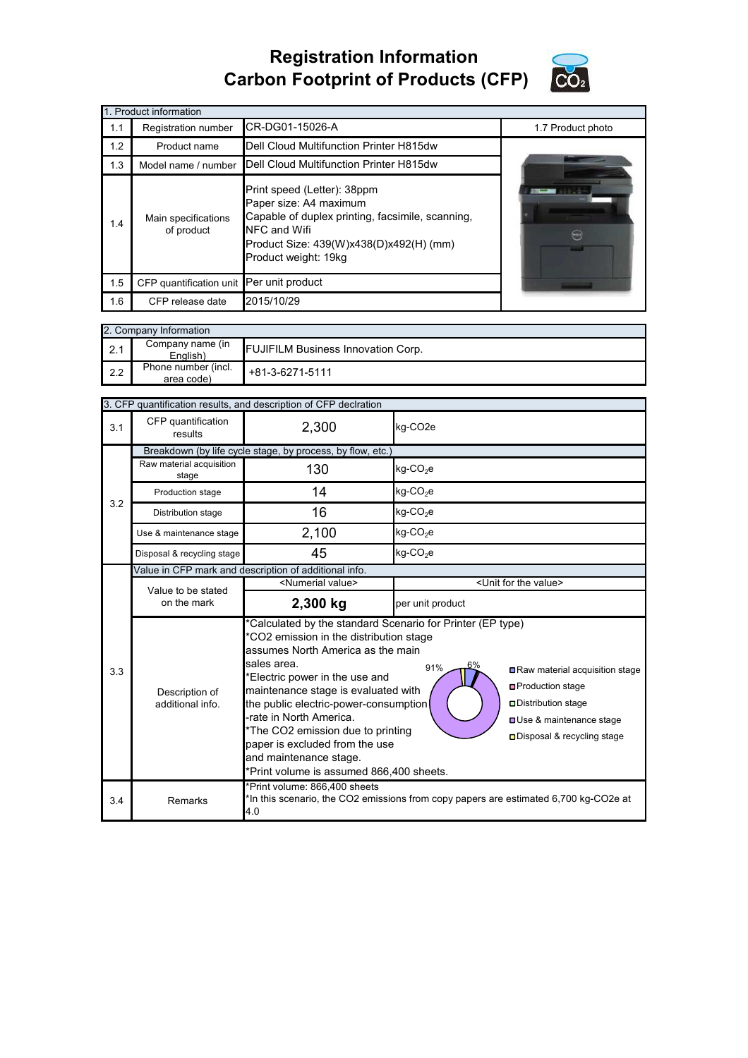## **Registration Information Carbon Footprint of Products (CFP)**



| 1. Product information |                                                                                                                                                                                                                                   |                                         |                   |  |  |  |  |
|------------------------|-----------------------------------------------------------------------------------------------------------------------------------------------------------------------------------------------------------------------------------|-----------------------------------------|-------------------|--|--|--|--|
| 1.1                    | Registration number                                                                                                                                                                                                               | CR-DG01-15026-A                         | 1.7 Product photo |  |  |  |  |
| 1.2                    | Product name                                                                                                                                                                                                                      | Dell Cloud Multifunction Printer H815dw |                   |  |  |  |  |
| 1.3                    | Dell Cloud Multifunction Printer H815dw<br>Model name / number                                                                                                                                                                    |                                         |                   |  |  |  |  |
| 1.4                    | Print speed (Letter): 38ppm<br>Paper size: A4 maximum<br>Capable of duplex printing, facsimile, scanning,<br>Main specifications<br>NFC and Wifi<br>of product<br>Product Size: 439(W)x438(D)x492(H) (mm)<br>Product weight: 19kg |                                         |                   |  |  |  |  |
| 1.5                    | CFP quantification unit Per unit product                                                                                                                                                                                          |                                         |                   |  |  |  |  |
| 1.6                    | CFP release date                                                                                                                                                                                                                  | 2015/10/29                              |                   |  |  |  |  |

|     | 2. Company Information            |                                           |  |  |  |  |
|-----|-----------------------------------|-------------------------------------------|--|--|--|--|
| 2.1 | Company name (in<br>English)      | <b>FUJIFILM Business Innovation Corp.</b> |  |  |  |  |
| 2.2 | Phone number (incl.<br>area code) | +81-3-6271-5111                           |  |  |  |  |

| 3. CFP quantification results, and description of CFP declration |                                                            |                                                                                                                                                                                                                                                                                                                                                                                                                                                                                                                                                                                                                               |                                      |  |  |
|------------------------------------------------------------------|------------------------------------------------------------|-------------------------------------------------------------------------------------------------------------------------------------------------------------------------------------------------------------------------------------------------------------------------------------------------------------------------------------------------------------------------------------------------------------------------------------------------------------------------------------------------------------------------------------------------------------------------------------------------------------------------------|--------------------------------------|--|--|
| 3.1                                                              | CFP quantification<br>results                              | 2,300                                                                                                                                                                                                                                                                                                                                                                                                                                                                                                                                                                                                                         | kg-CO2e                              |  |  |
|                                                                  | Breakdown (by life cycle stage, by process, by flow, etc.) |                                                                                                                                                                                                                                                                                                                                                                                                                                                                                                                                                                                                                               |                                      |  |  |
|                                                                  | Raw material acquisition<br>stage                          | 130                                                                                                                                                                                                                                                                                                                                                                                                                                                                                                                                                                                                                           | $kg$ -CO <sub>2</sub> e              |  |  |
| 3.2                                                              | Production stage                                           | 14                                                                                                                                                                                                                                                                                                                                                                                                                                                                                                                                                                                                                            | kg-CO <sub>2</sub> e                 |  |  |
|                                                                  | Distribution stage                                         | 16                                                                                                                                                                                                                                                                                                                                                                                                                                                                                                                                                                                                                            | $kg$ -CO <sub>2</sub> e              |  |  |
|                                                                  | Use & maintenance stage                                    | 2,100                                                                                                                                                                                                                                                                                                                                                                                                                                                                                                                                                                                                                         | $kg$ -CO <sub>2</sub> e              |  |  |
|                                                                  | Disposal & recycling stage                                 | 45                                                                                                                                                                                                                                                                                                                                                                                                                                                                                                                                                                                                                            | kg-CO <sub>2</sub> e                 |  |  |
|                                                                  | Value in CFP mark and description of additional info.      |                                                                                                                                                                                                                                                                                                                                                                                                                                                                                                                                                                                                                               |                                      |  |  |
|                                                                  | Value to be stated<br>on the mark                          | <numerial value=""></numerial>                                                                                                                                                                                                                                                                                                                                                                                                                                                                                                                                                                                                | <unit for="" the="" value=""></unit> |  |  |
|                                                                  |                                                            | 2,300 kg                                                                                                                                                                                                                                                                                                                                                                                                                                                                                                                                                                                                                      | per unit product                     |  |  |
| 3.3                                                              | Description of<br>additional info.                         | *Calculated by the standard Scenario for Printer (EP type)<br>*CO2 emission in the distribution stage<br>assumes North America as the main<br>sales area.<br>6%<br>91%<br>Raw material acquisition stage<br>*Electric power in the use and<br><b>□Production stage</b><br>maintenance stage is evaluated with<br>the public electric-power-consumption<br>□ Distribution stage<br>-rate in North America.<br><b>OUse &amp; maintenance stage</b><br>*The CO2 emission due to printing<br>□ Disposal & recycling stage<br>paper is excluded from the use<br>and maintenance stage.<br>*Print volume is assumed 866,400 sheets. |                                      |  |  |
| 3.4                                                              | Remarks                                                    | *Print volume: 866,400 sheets<br>*In this scenario, the CO2 emissions from copy papers are estimated 6,700 kg-CO2e at<br>4.0                                                                                                                                                                                                                                                                                                                                                                                                                                                                                                  |                                      |  |  |